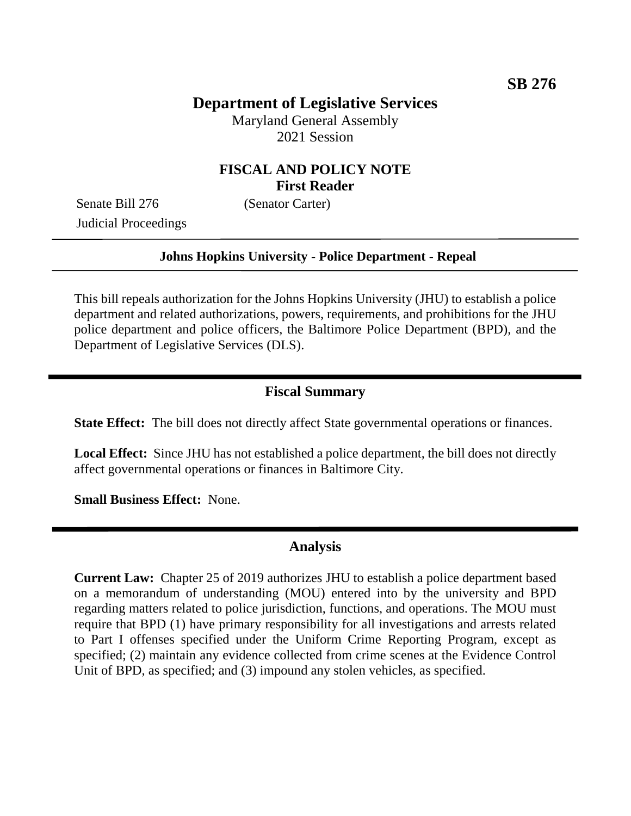## **Department of Legislative Services**

Maryland General Assembly 2021 Session

#### **FISCAL AND POLICY NOTE First Reader**

Senate Bill 276 (Senator Carter) Judicial Proceedings

#### **Johns Hopkins University - Police Department - Repeal**

This bill repeals authorization for the Johns Hopkins University (JHU) to establish a police department and related authorizations, powers, requirements, and prohibitions for the JHU police department and police officers, the Baltimore Police Department (BPD), and the Department of Legislative Services (DLS).

#### **Fiscal Summary**

**State Effect:** The bill does not directly affect State governmental operations or finances.

Local Effect: Since JHU has not established a police department, the bill does not directly affect governmental operations or finances in Baltimore City.

**Small Business Effect:** None.

#### **Analysis**

**Current Law:** Chapter 25 of 2019 authorizes JHU to establish a police department based on a memorandum of understanding (MOU) entered into by the university and BPD regarding matters related to police jurisdiction, functions, and operations. The MOU must require that BPD (1) have primary responsibility for all investigations and arrests related to Part I offenses specified under the Uniform Crime Reporting Program, except as specified; (2) maintain any evidence collected from crime scenes at the Evidence Control Unit of BPD, as specified; and (3) impound any stolen vehicles, as specified.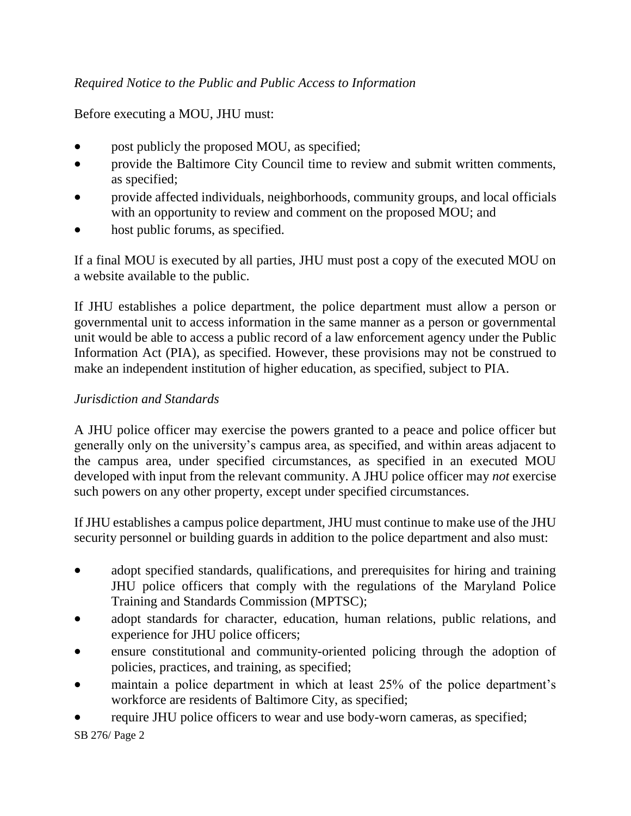#### *Required Notice to the Public and Public Access to Information*

#### Before executing a MOU, JHU must:

- post publicly the proposed MOU, as specified;
- provide the Baltimore City Council time to review and submit written comments, as specified;
- provide affected individuals, neighborhoods, community groups, and local officials with an opportunity to review and comment on the proposed MOU; and
- host public forums, as specified.

If a final MOU is executed by all parties, JHU must post a copy of the executed MOU on a website available to the public.

If JHU establishes a police department, the police department must allow a person or governmental unit to access information in the same manner as a person or governmental unit would be able to access a public record of a law enforcement agency under the Public Information Act (PIA), as specified. However, these provisions may not be construed to make an independent institution of higher education, as specified, subject to PIA.

#### *Jurisdiction and Standards*

A JHU police officer may exercise the powers granted to a peace and police officer but generally only on the university's campus area, as specified, and within areas adjacent to the campus area, under specified circumstances, as specified in an executed MOU developed with input from the relevant community. A JHU police officer may *not* exercise such powers on any other property, except under specified circumstances.

If JHU establishes a campus police department, JHU must continue to make use of the JHU security personnel or building guards in addition to the police department and also must:

- adopt specified standards, qualifications, and prerequisites for hiring and training JHU police officers that comply with the regulations of the Maryland Police Training and Standards Commission (MPTSC);
- adopt standards for character, education, human relations, public relations, and experience for JHU police officers;
- ensure constitutional and community-oriented policing through the adoption of policies, practices, and training, as specified;
- maintain a police department in which at least 25% of the police department's workforce are residents of Baltimore City, as specified;
- require JHU police officers to wear and use body-worn cameras, as specified;

SB 276/ Page 2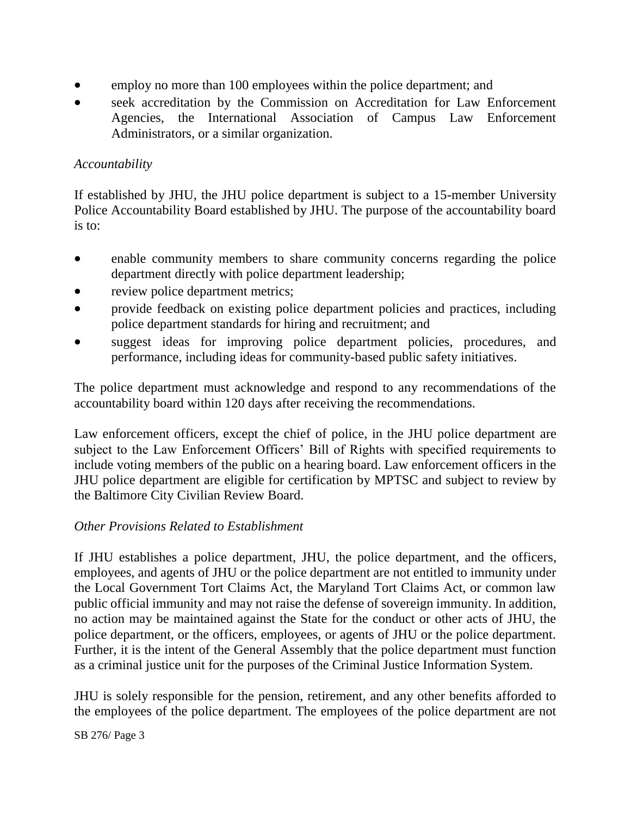- employ no more than 100 employees within the police department; and
- seek accreditation by the Commission on Accreditation for Law Enforcement Agencies, the International Association of Campus Law Enforcement Administrators, or a similar organization.

## *Accountability*

If established by JHU, the JHU police department is subject to a 15-member University Police Accountability Board established by JHU. The purpose of the accountability board is to:

- enable community members to share community concerns regarding the police department directly with police department leadership;
- review police department metrics;
- provide feedback on existing police department policies and practices, including police department standards for hiring and recruitment; and
- suggest ideas for improving police department policies, procedures, and performance, including ideas for community-based public safety initiatives.

The police department must acknowledge and respond to any recommendations of the accountability board within 120 days after receiving the recommendations.

Law enforcement officers, except the chief of police, in the JHU police department are subject to the Law Enforcement Officers' Bill of Rights with specified requirements to include voting members of the public on a hearing board. Law enforcement officers in the JHU police department are eligible for certification by MPTSC and subject to review by the Baltimore City Civilian Review Board.

## *Other Provisions Related to Establishment*

If JHU establishes a police department, JHU, the police department, and the officers, employees, and agents of JHU or the police department are not entitled to immunity under the Local Government Tort Claims Act, the Maryland Tort Claims Act, or common law public official immunity and may not raise the defense of sovereign immunity. In addition, no action may be maintained against the State for the conduct or other acts of JHU, the police department, or the officers, employees, or agents of JHU or the police department. Further, it is the intent of the General Assembly that the police department must function as a criminal justice unit for the purposes of the Criminal Justice Information System.

JHU is solely responsible for the pension, retirement, and any other benefits afforded to the employees of the police department. The employees of the police department are not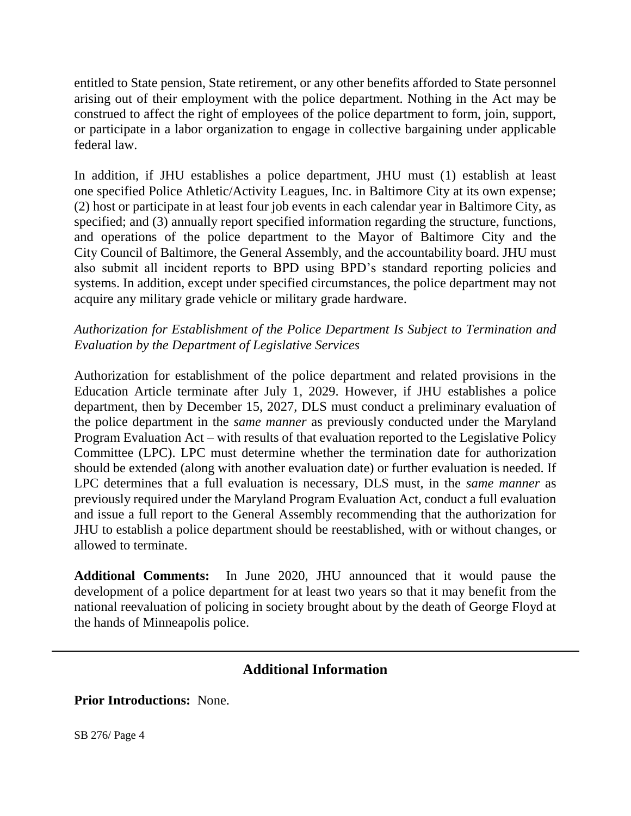entitled to State pension, State retirement, or any other benefits afforded to State personnel arising out of their employment with the police department. Nothing in the Act may be construed to affect the right of employees of the police department to form, join, support, or participate in a labor organization to engage in collective bargaining under applicable federal law.

In addition, if JHU establishes a police department, JHU must (1) establish at least one specified Police Athletic/Activity Leagues, Inc. in Baltimore City at its own expense; (2) host or participate in at least four job events in each calendar year in Baltimore City, as specified; and (3) annually report specified information regarding the structure, functions, and operations of the police department to the Mayor of Baltimore City and the City Council of Baltimore, the General Assembly, and the accountability board. JHU must also submit all incident reports to BPD using BPD's standard reporting policies and systems. In addition, except under specified circumstances, the police department may not acquire any military grade vehicle or military grade hardware.

#### *Authorization for Establishment of the Police Department Is Subject to Termination and Evaluation by the Department of Legislative Services*

Authorization for establishment of the police department and related provisions in the Education Article terminate after July 1, 2029. However, if JHU establishes a police department, then by December 15, 2027, DLS must conduct a preliminary evaluation of the police department in the *same manner* as previously conducted under the Maryland Program Evaluation Act – with results of that evaluation reported to the Legislative Policy Committee (LPC). LPC must determine whether the termination date for authorization should be extended (along with another evaluation date) or further evaluation is needed. If LPC determines that a full evaluation is necessary, DLS must, in the *same manner* as previously required under the Maryland Program Evaluation Act, conduct a full evaluation and issue a full report to the General Assembly recommending that the authorization for JHU to establish a police department should be reestablished, with or without changes, or allowed to terminate.

**Additional Comments:** In June 2020, JHU announced that it would pause the development of a police department for at least two years so that it may benefit from the national reevaluation of policing in society brought about by the death of George Floyd at the hands of Minneapolis police.

# **Additional Information**

**Prior Introductions:** None.